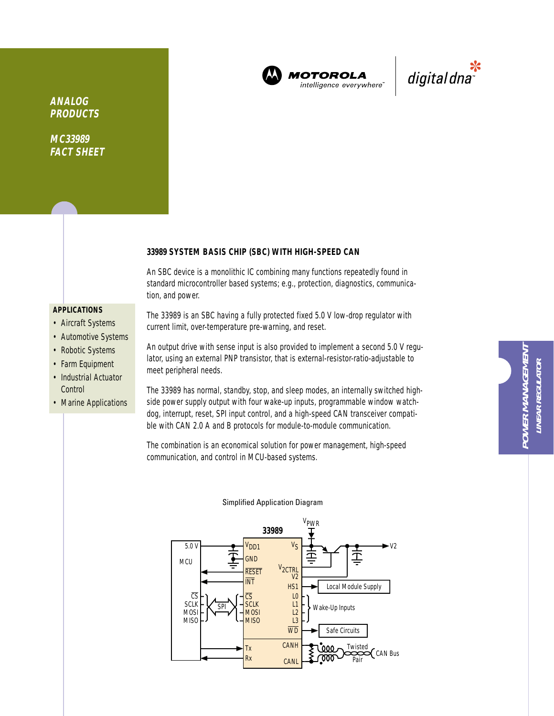

**MOTOROLA** intelligence everywhere



**ANALOG PRODUCTS**

**MC33989 FACT SHEET**

## **33989 SYSTEM BASIS CHIP (SBC) WITH HIGH-SPEED CAN**

An SBC device is a monolithic IC combining many functions repeatedly found in standard microcontroller based systems; e.g., protection, diagnostics, communication, and power.

### **APPLICATIONS**

- Aircraft Systems
- Automotive Systems
- Robotic Systems
- Farm Equipment
- Industrial Actuator **Control**
- Marine Applications

The 33989 is an SBC having a fully protected fixed 5.0 V low-drop regulator with current limit, over-temperature pre-warning, and reset.

An output drive with sense input is also provided to implement a second 5.0 V regulator, using an external PNP transistor, that is external-resistor-ratio-adjustable to meet peripheral needs.

The 33989 has normal, standby, stop, and sleep modes, an internally switched highside power supply output with four wake-up inputs, programmable window watchdog, interrupt, reset, SPI input control, and a high-speed CAN transceiver compatible with CAN 2.0 A and B protocols for module-to-module communication.

The combination is an economical solution for power management, high-speed communication, and control in MCU-based systems.



# Simplified Application Diagram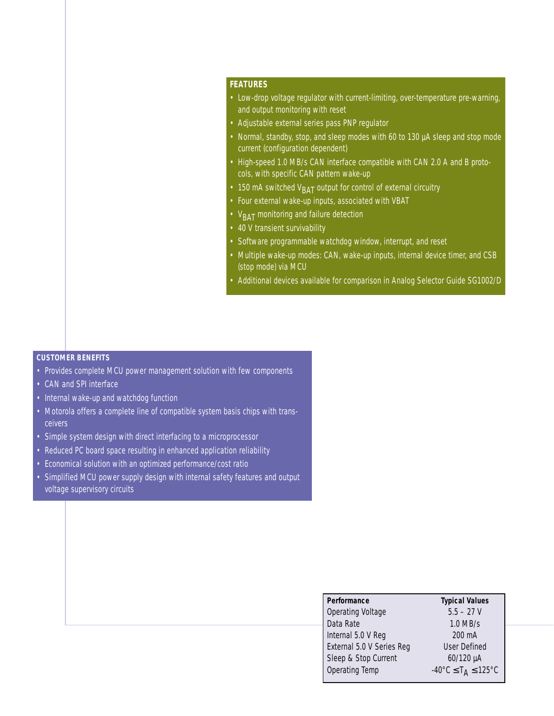# **FEATURES**

- Low-drop voltage regulator with current-limiting, over-temperature pre-warning, and output monitoring with reset
- Adjustable external series pass PNP regulator
- Normal, standby, stop, and sleep modes with 60 to 130 µA sleep and stop mode current (configuration dependent)
- High-speed 1.0 MB/s CAN interface compatible with CAN 2.0 A and B protocols, with specific CAN pattern wake-up
- 150 mA switched  $V<sub>BAT</sub>$  output for control of external circuitry
- Four external wake-up inputs, associated with VBAT
- V<sub>BAT</sub> monitoring and failure detection
- 40 V transient survivability
- Software programmable watchdog window, interrupt, and reset
- Multiple wake-up modes: CAN, wake-up inputs, internal device timer, and CSB (stop mode) via MCU
- Additional devices available for comparison in Analog Selector Guide SG1002/D

#### **CUSTOMER BENEFITS**

- Provides complete MCU power management solution with few components
- CAN and SPI interface
- Internal wake-up and watchdog function
- Motorola offers a complete line of compatible system basis chips with transceivers
- Simple system design with direct interfacing to a microprocessor
- Reduced PC board space resulting in enhanced application reliability
- Economical solution with an optimized performance/cost ratio
- Simplified MCU power supply design with internal safety features and output voltage supervisory circuits

| Performance                      | <b>Typical Values</b>                                         |
|----------------------------------|---------------------------------------------------------------|
| <b>Operating Voltage</b>         | $5.5 - 27V$                                                   |
| Data Rate                        | $1.0$ MB/s                                                    |
| Internal 5.0 V Reg               | 200 mA                                                        |
| <b>External 5.0 V Series Reg</b> | <b>User Defined</b>                                           |
| Sleep & Stop Current             | 60/120 µA                                                     |
| Operating Temp                   | $-40^{\circ}$ C $\leq$ T <sub>A</sub> $\leq$ 125 $^{\circ}$ C |
|                                  |                                                               |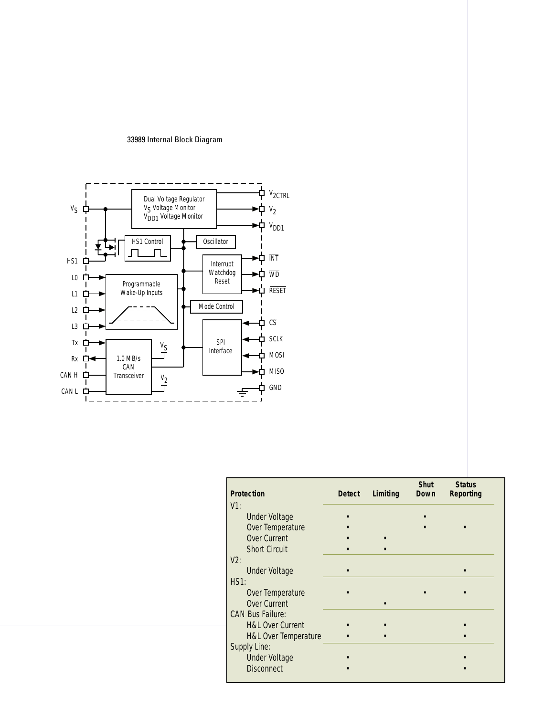#### 33989 Internal Block Diagram



| <b>Protection</b>               | <b>Detect</b> | Limiting | <b>Shut</b><br>Down | <b>Status</b><br><b>Reporting</b> |  |
|---------------------------------|---------------|----------|---------------------|-----------------------------------|--|
| $V1$ :                          |               |          |                     |                                   |  |
| <b>Under Voltage</b>            |               |          |                     |                                   |  |
| Over Temperature                |               |          |                     |                                   |  |
| Over Current                    |               |          |                     |                                   |  |
| <b>Short Circuit</b>            |               |          |                     |                                   |  |
| $V2$ :                          |               |          |                     |                                   |  |
| <b>Under Voltage</b>            |               |          |                     |                                   |  |
| HS1:                            |               |          |                     |                                   |  |
| Over Temperature                |               |          |                     |                                   |  |
| Over Current                    |               |          |                     |                                   |  |
| <b>CAN Bus Failure:</b>         |               |          |                     |                                   |  |
| <b>H&amp;L Over Current</b>     |               |          |                     |                                   |  |
| <b>H&amp;L Over Temperature</b> |               |          |                     |                                   |  |
| Supply Line:                    |               |          |                     |                                   |  |
| <b>Under Voltage</b>            |               |          |                     |                                   |  |
| <b>Disconnect</b>               |               |          |                     |                                   |  |